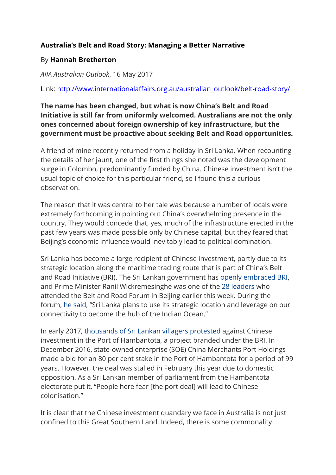## **Australia's Belt and Road Story: Managing a Better Narrative**

## By **[Hannah Bretherton](http://www.internationalaffairs.org.au/?post_type=aiia-authors&p=39387)**

*AIIA Australian Outlook*, 16 May 2017

Link: [http://www.internationalaffairs.org.au/australian\\_outlook/belt-road-story/](http://www.internationalaffairs.org.au/australian_outlook/belt-road-story/)

## **The name has been changed, but what is now China's Belt and Road Initiative is still far from uniformly welcomed. Australians are not the only ones concerned about foreign ownership of key infrastructure, but the government must be proactive about seeking Belt and Road opportunities.**

A friend of mine recently returned from a holiday in Sri Lanka. When recounting the details of her jaunt, one of the first things she noted was the development surge in Colombo, predominantly funded by China. Chinese investment isn't the usual topic of choice for this particular friend, so I found this a curious observation.

The reason that it was central to her tale was because a number of locals were extremely forthcoming in pointing out China's overwhelming presence in the country. They would concede that, yes, much of the infrastructure erected in the past few years was made possible only by Chinese capital, but they feared that Beijing's economic influence would inevitably lead to political domination.

Sri Lanka has become a large recipient of Chinese investment, partly due to its strategic location along the maritime trading route that is part of China's Belt and Road Initiative (BRI). The Sri Lankan government has [openly embraced BRI,](http://www.mfa.gov.lk/index.php/en/media/statements/6617-pm-addressnz) and Prime Minister Ranil Wickremesinghe was one of the [28 leaders](http://www.fmprc.gov.cn/mfa_eng/wjb_663304/wjbz_663308/activities_663312/t1455102.shtml) who attended the Belt and Road Forum in Beijing earlier this week. During the forum, [he said](http://bdnews24.com/world/2017/05/16/sri-lankan-prime-minister-calls-for-freedom-of-navigation-at-obor-summit), "Sri Lanka plans to use its strategic location and leverage on our connectivity to become the hub of the Indian Ocean."

In early 2017, [thousands of Sri Lankan villagers protested](http://www.bbc.com/news/world-asia-38541673) against Chinese investment in the Port of Hambantota, a project branded under the BRI. In December 2016, state-owned enterprise (SOE) China Merchants Port Holdings made a bid for an 80 per cent stake in the Port of Hambantota for a period of 99 years. However, the deal was stalled in February this year due to domestic opposition. As a Sri Lankan member of parliament from the Hambantota electorate put it, "People here fear [the port deal] will lead to Chinese colonisation."

It is clear that the Chinese investment quandary we face in Australia is not just confined to this Great Southern Land. Indeed, there is some commonality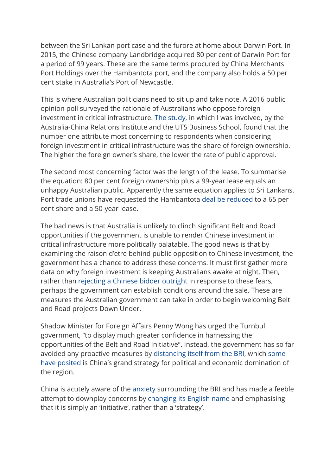between the Sri Lankan port case and the furore at home about Darwin Port. In 2015, the Chinese company Landbridge acquired 80 per cent of Darwin Port for a period of 99 years. These are the same terms procured by China Merchants Port Holdings over the Hambantota port, and the company also holds a 50 per cent stake in Australia's Port of Newcastle.

This is where Australian politicians need to sit up and take note. A 2016 public opinion poll surveyed the rationale of Australians who oppose foreign investment in critical infrastructure. [The study,](http://www.australiachinarelations.org/content/acri-working-paper-chinese-investment-critical-infrastructure-much-ado-about-not-much-0) in which I was involved, by the Australia-China Relations Institute and the UTS Business School, found that the number one attribute most concerning to respondents when considering foreign investment in critical infrastructure was the share of foreign ownership. The higher the foreign owner's share, the lower the rate of public approval.

The second most concerning factor was the length of the lease. To summarise the equation: 80 per cent foreign ownership plus a 99-year lease equals an unhappy Australian public. Apparently the same equation applies to Sri Lankans. Port trade unions have requested the Hambantota [deal be reduced](http://www.reuters.com/article/us-china-silkroad-sri-lanka-exclusive-idUSKBN15U2VM) to a 65 per cent share and a 50-year lease.

The bad news is that Australia is unlikely to clinch significant Belt and Road opportunities if the government is unable to render Chinese investment in critical infrastructure more politically palatable. The good news is that by examining the raison d'etre behind public opposition to Chinese investment, the government has a chance to address these concerns. It must first gather more data on why foreign investment is keeping Australians awake at night. Then, rather than [rejecting a Chinese bidder outright](http://www.afr.com/news/chinas-state-grid-very-disappointed-by-ausgrid-rejection-20160820-gqxigv) in response to these fears, perhaps the government can establish conditions around the sale. These are measures the Australian government can take in order to begin welcoming Belt and Road projects Down Under.

Shadow Minister for Foreign Affairs Penny Wong has urged the Turnbull government, "to display much greater confidence in harnessing the opportunities of the Belt and Road Initiative". Instead, the government has so far avoided any proactive measures by [distancing itself from the BRI,](http://www.theaustralian.com.au/national-affairs/foreign-affairs/china-snubbed-on-road-and-port-push/news-story/1534e4f7de0ab0031818854d24ae0a91) which [some](https://www.ft.com/content/0714074a-0334-11e7-aa5b-6bb07f5c8e12)  [have posited](https://www.ft.com/content/0714074a-0334-11e7-aa5b-6bb07f5c8e12) is China's grand strategy for political and economic domination of the region.

China is acutely aware of the [anxiety](https://www.ft.com/content/0714074a-0334-11e7-aa5b-6bb07f5c8e12) surrounding the BRI and has made a feeble attempt to downplay concerns by [changing its English name](http://www.afr.com/news/world/whats-in-a-name-china-plays-down-obors-strategic-drivers-20170511-gw2vex) and emphasising that it is simply an 'initiative', rather than a 'strategy'.